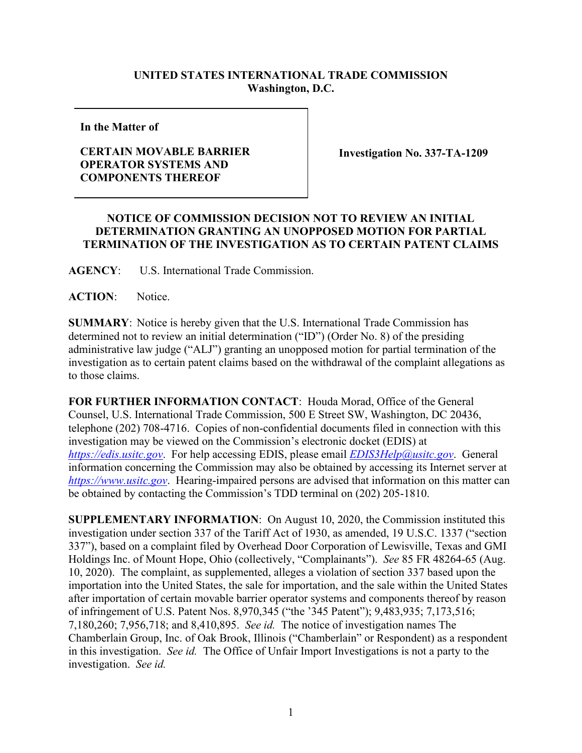## **UNITED STATES INTERNATIONAL TRADE COMMISSION Washington, D.C.**

**In the Matter of**

## **CERTAIN MOVABLE BARRIER OPERATOR SYSTEMS AND COMPONENTS THEREOF**

**Investigation No. 337-TA-1209**

## **NOTICE OF COMMISSION DECISION NOT TO REVIEW AN INITIAL DETERMINATION GRANTING AN UNOPPOSED MOTION FOR PARTIAL TERMINATION OF THE INVESTIGATION AS TO CERTAIN PATENT CLAIMS**

**AGENCY**: U.S. International Trade Commission.

ACTION: Notice.

**SUMMARY**: Notice is hereby given that the U.S. International Trade Commission has determined not to review an initial determination ("ID") (Order No. 8) of the presiding administrative law judge ("ALJ") granting an unopposed motion for partial termination of the investigation as to certain patent claims based on the withdrawal of the complaint allegations as to those claims.

**FOR FURTHER INFORMATION CONTACT**: Houda Morad, Office of the General Counsel, U.S. International Trade Commission, 500 E Street SW, Washington, DC 20436, telephone (202) 708-4716. Copies of non-confidential documents filed in connection with this investigation may be viewed on the Commission's electronic docket (EDIS) at *[https://edis.usitc.gov](https://edis.usitc.gov/)*. For help accessing EDIS, please email *[EDIS3Help@usitc.gov](mailto:EDIS3Help@usitc.gov)*. General information concerning the Commission may also be obtained by accessing its Internet server at *[https://www.usitc.gov](https://www.usitc.gov/)*. Hearing-impaired persons are advised that information on this matter can be obtained by contacting the Commission's TDD terminal on (202) 205-1810.

**SUPPLEMENTARY INFORMATION**: On August 10, 2020, the Commission instituted this investigation under section 337 of the Tariff Act of 1930, as amended, 19 U.S.C. 1337 ("section 337"), based on a complaint filed by Overhead Door Corporation of Lewisville, Texas and GMI Holdings Inc. of Mount Hope, Ohio (collectively, "Complainants"). *See* 85 FR 48264-65 (Aug. 10, 2020). The complaint, as supplemented, alleges a violation of section 337 based upon the importation into the United States, the sale for importation, and the sale within the United States after importation of certain movable barrier operator systems and components thereof by reason of infringement of U.S. Patent Nos. 8,970,345 ("the '345 Patent"); 9,483,935; 7,173,516; 7,180,260; 7,956,718; and 8,410,895. *See id.* The notice of investigation names The Chamberlain Group, Inc. of Oak Brook, Illinois ("Chamberlain" or Respondent) as a respondent in this investigation. *See id.* The Office of Unfair Import Investigations is not a party to the investigation. *See id.*